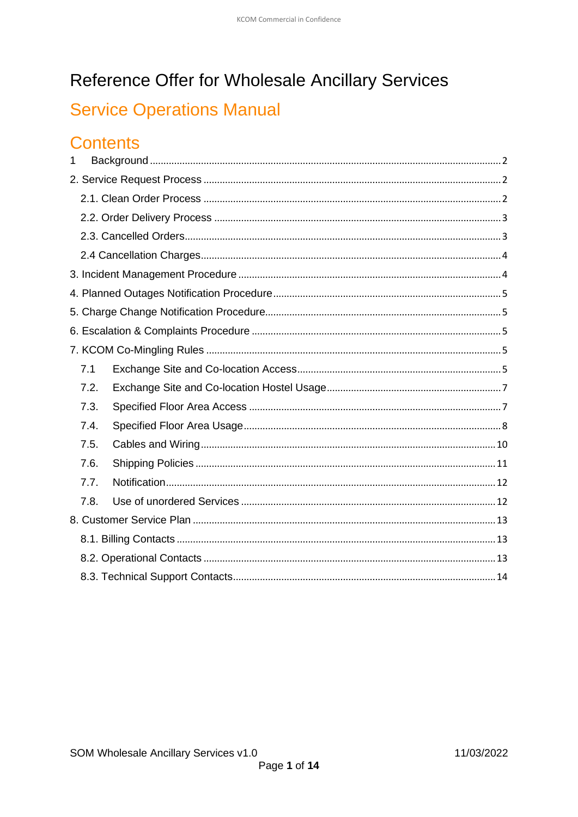# Reference Offer for Wholesale Ancillary Services

# **Service Operations Manual**

# **Contents**

| $\mathbf 1$ |      |  |  |  |  |
|-------------|------|--|--|--|--|
|             |      |  |  |  |  |
|             |      |  |  |  |  |
|             |      |  |  |  |  |
|             |      |  |  |  |  |
|             |      |  |  |  |  |
|             |      |  |  |  |  |
|             |      |  |  |  |  |
|             |      |  |  |  |  |
|             |      |  |  |  |  |
|             |      |  |  |  |  |
|             | 7.1  |  |  |  |  |
|             | 7.2. |  |  |  |  |
|             | 7.3. |  |  |  |  |
|             | 7.4. |  |  |  |  |
|             | 7.5. |  |  |  |  |
|             | 7.6. |  |  |  |  |
|             | 7.7. |  |  |  |  |
|             | 7.8. |  |  |  |  |
|             |      |  |  |  |  |
|             |      |  |  |  |  |
|             |      |  |  |  |  |
|             |      |  |  |  |  |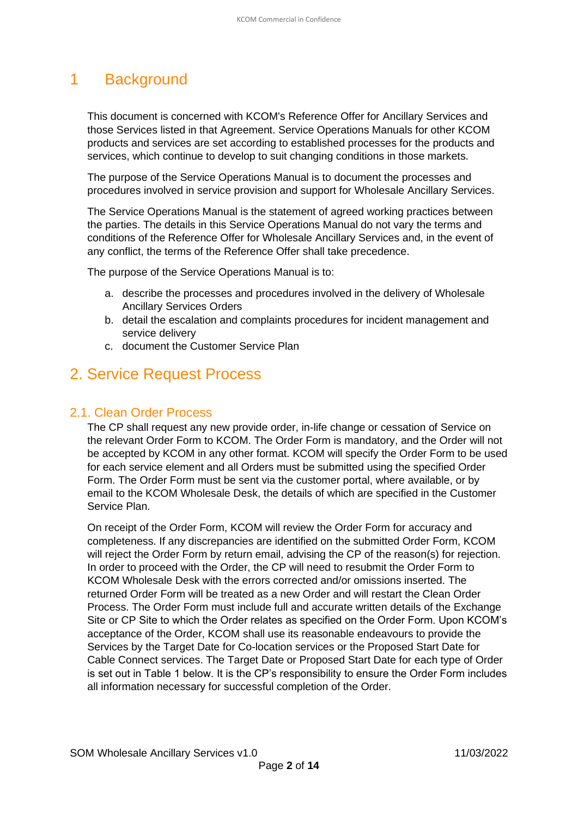# <span id="page-1-0"></span>1 Background

This document is concerned with KCOM's Reference Offer for Ancillary Services and those Services listed in that Agreement. Service Operations Manuals for other KCOM products and services are set according to established processes for the products and services, which continue to develop to suit changing conditions in those markets.

The purpose of the Service Operations Manual is to document the processes and procedures involved in service provision and support for Wholesale Ancillary Services.

The Service Operations Manual is the statement of agreed working practices between the parties. The details in this Service Operations Manual do not vary the terms and conditions of the Reference Offer for Wholesale Ancillary Services and, in the event of any conflict, the terms of the Reference Offer shall take precedence.

The purpose of the Service Operations Manual is to:

- a. describe the processes and procedures involved in the delivery of Wholesale Ancillary Services Orders
- b. detail the escalation and complaints procedures for incident management and service delivery
- c. document the Customer Service Plan

# <span id="page-1-1"></span>2. Service Request Process

#### <span id="page-1-2"></span>2.1. Clean Order Process

The CP shall request any new provide order, in-life change or cessation of Service on the relevant Order Form to KCOM. The Order Form is mandatory, and the Order will not be accepted by KCOM in any other format. KCOM will specify the Order Form to be used for each service element and all Orders must be submitted using the specified Order Form. The Order Form must be sent via the customer portal, where available, or by email to the KCOM Wholesale Desk, the details of which are specified in the Customer Service Plan.

On receipt of the Order Form, KCOM will review the Order Form for accuracy and completeness. If any discrepancies are identified on the submitted Order Form, KCOM will reject the Order Form by return email, advising the CP of the reason(s) for rejection. In order to proceed with the Order, the CP will need to resubmit the Order Form to KCOM Wholesale Desk with the errors corrected and/or omissions inserted. The returned Order Form will be treated as a new Order and will restart the Clean Order Process. The Order Form must include full and accurate written details of the Exchange Site or CP Site to which the Order relates as specified on the Order Form. Upon KCOM's acceptance of the Order, KCOM shall use its reasonable endeavours to provide the Services by the Target Date for Co-location services or the Proposed Start Date for Cable Connect services. The Target Date or Proposed Start Date for each type of Order is set out in Table 1 below. It is the CP's responsibility to ensure the Order Form includes all information necessary for successful completion of the Order.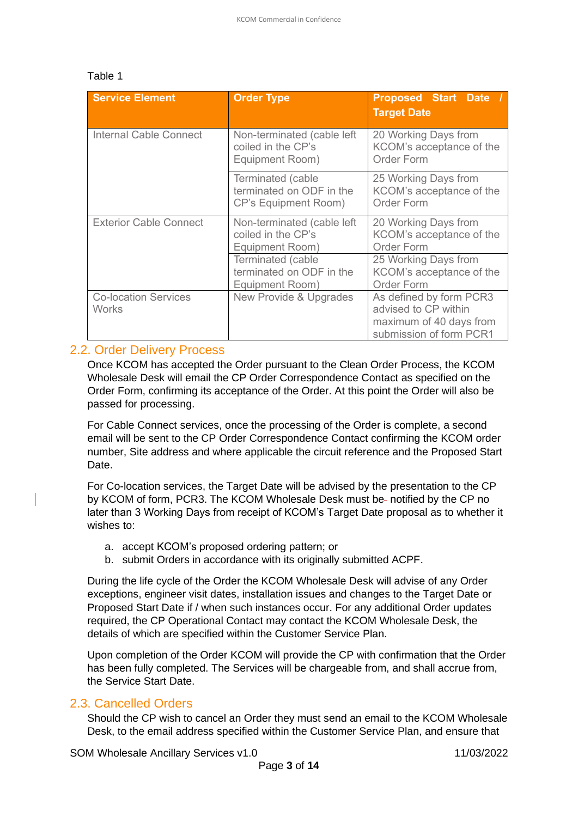#### Table 1

| <b>Service Element</b>               | <b>Order Type</b>                                                            | <b>Proposed Start Date /</b><br><b>Target Date</b>                                                    |  |
|--------------------------------------|------------------------------------------------------------------------------|-------------------------------------------------------------------------------------------------------|--|
| <b>Internal Cable Connect</b>        | Non-terminated (cable left<br>coiled in the CP's<br>Equipment Room)          | 20 Working Days from<br>KCOM's acceptance of the<br><b>Order Form</b>                                 |  |
|                                      | Terminated (cable<br>terminated on ODF in the<br><b>CP's Equipment Room)</b> | 25 Working Days from<br>KCOM's acceptance of the<br><b>Order Form</b>                                 |  |
| <b>Exterior Cable Connect</b>        | Non-terminated (cable left<br>coiled in the CP's<br>Equipment Room)          | 20 Working Days from<br>KCOM's acceptance of the<br>Order Form                                        |  |
|                                      | Terminated (cable<br>terminated on ODF in the<br>Equipment Room)             | 25 Working Days from<br>KCOM's acceptance of the<br><b>Order Form</b>                                 |  |
| <b>Co-location Services</b><br>Works | New Provide & Upgrades                                                       | As defined by form PCR3<br>advised to CP within<br>maximum of 40 days from<br>submission of form PCR1 |  |

#### <span id="page-2-0"></span>2.2. Order Delivery Process

Once KCOM has accepted the Order pursuant to the Clean Order Process, the KCOM Wholesale Desk will email the CP Order Correspondence Contact as specified on the Order Form, confirming its acceptance of the Order. At this point the Order will also be passed for processing.

For Cable Connect services, once the processing of the Order is complete, a second email will be sent to the CP Order Correspondence Contact confirming the KCOM order number, Site address and where applicable the circuit reference and the Proposed Start Date.

For Co-location services, the Target Date will be advised by the presentation to the CP by KCOM of form, PCR3. The KCOM Wholesale Desk must be- notified by the CP no later than 3 Working Days from receipt of KCOM's Target Date proposal as to whether it wishes to:

- a. accept KCOM's proposed ordering pattern; or
- b. submit Orders in accordance with its originally submitted ACPF.

During the life cycle of the Order the KCOM Wholesale Desk will advise of any Order exceptions, engineer visit dates, installation issues and changes to the Target Date or Proposed Start Date if / when such instances occur. For any additional Order updates required, the CP Operational Contact may contact the KCOM Wholesale Desk, the details of which are specified within the Customer Service Plan.

Upon completion of the Order KCOM will provide the CP with confirmation that the Order has been fully completed. The Services will be chargeable from, and shall accrue from, the Service Start Date.

#### <span id="page-2-1"></span>2.3. Cancelled Orders

Should the CP wish to cancel an Order they must send an email to the KCOM Wholesale Desk, to the email address specified within the Customer Service Plan, and ensure that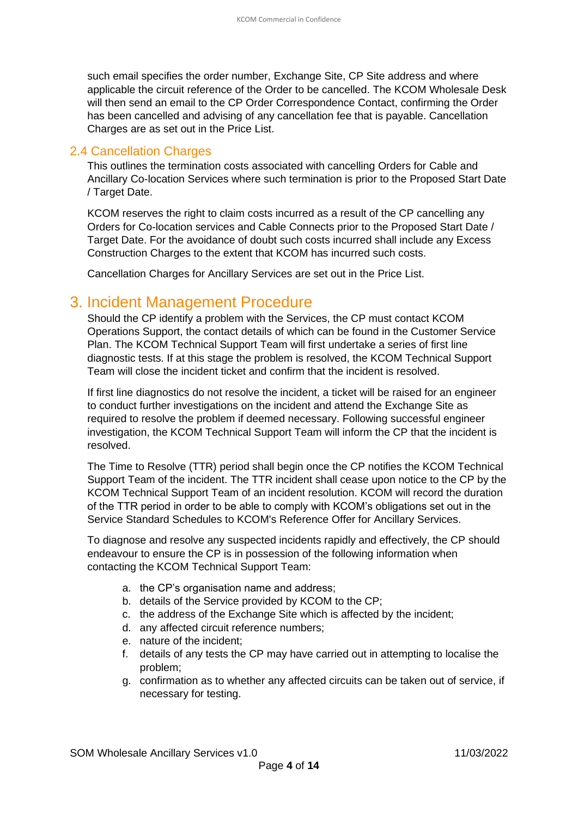such email specifies the order number, Exchange Site, CP Site address and where applicable the circuit reference of the Order to be cancelled. The KCOM Wholesale Desk will then send an email to the CP Order Correspondence Contact, confirming the Order has been cancelled and advising of any cancellation fee that is payable. Cancellation Charges are as set out in the Price List.

#### <span id="page-3-0"></span>2.4 Cancellation Charges

This outlines the termination costs associated with cancelling Orders for Cable and Ancillary Co-location Services where such termination is prior to the Proposed Start Date / Target Date.

KCOM reserves the right to claim costs incurred as a result of the CP cancelling any Orders for Co-location services and Cable Connects prior to the Proposed Start Date / Target Date. For the avoidance of doubt such costs incurred shall include any Excess Construction Charges to the extent that KCOM has incurred such costs.

Cancellation Charges for Ancillary Services are set out in the Price List.

## <span id="page-3-1"></span>3. Incident Management Procedure

Should the CP identify a problem with the Services, the CP must contact KCOM Operations Support, the contact details of which can be found in the Customer Service Plan. The KCOM Technical Support Team will first undertake a series of first line diagnostic tests. If at this stage the problem is resolved, the KCOM Technical Support Team will close the incident ticket and confirm that the incident is resolved.

If first line diagnostics do not resolve the incident, a ticket will be raised for an engineer to conduct further investigations on the incident and attend the Exchange Site as required to resolve the problem if deemed necessary. Following successful engineer investigation, the KCOM Technical Support Team will inform the CP that the incident is resolved.

The Time to Resolve (TTR) period shall begin once the CP notifies the KCOM Technical Support Team of the incident. The TTR incident shall cease upon notice to the CP by the KCOM Technical Support Team of an incident resolution. KCOM will record the duration of the TTR period in order to be able to comply with KCOM's obligations set out in the Service Standard Schedules to KCOM's Reference Offer for Ancillary Services.

To diagnose and resolve any suspected incidents rapidly and effectively, the CP should endeavour to ensure the CP is in possession of the following information when contacting the KCOM Technical Support Team:

- a. the CP's organisation name and address;
- b. details of the Service provided by KCOM to the CP;
- c. the address of the Exchange Site which is affected by the incident;
- d. any affected circuit reference numbers;
- e. nature of the incident;
- f. details of any tests the CP may have carried out in attempting to localise the problem;
- g. confirmation as to whether any affected circuits can be taken out of service, if necessary for testing.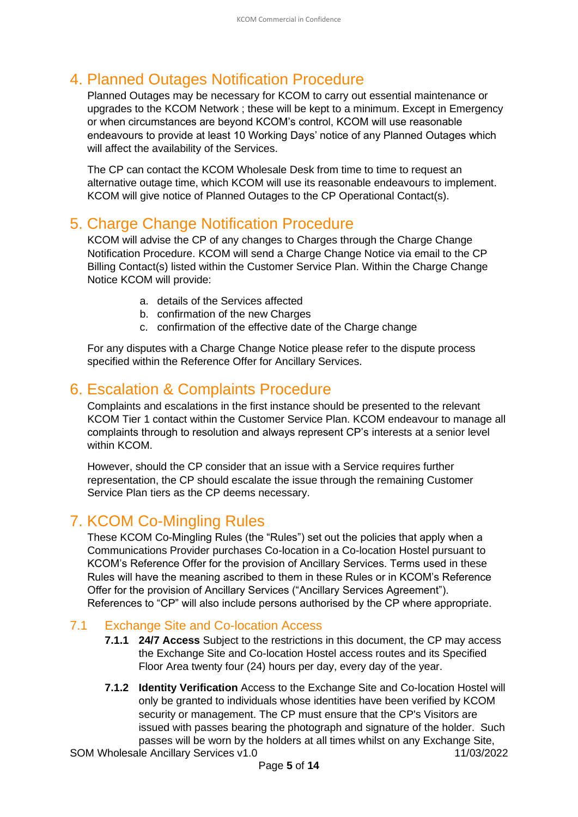# <span id="page-4-0"></span>4. Planned Outages Notification Procedure

Planned Outages may be necessary for KCOM to carry out essential maintenance or upgrades to the KCOM Network ; these will be kept to a minimum. Except in Emergency or when circumstances are beyond KCOM's control, KCOM will use reasonable endeavours to provide at least 10 Working Days' notice of any Planned Outages which will affect the availability of the Services.

The CP can contact the KCOM Wholesale Desk from time to time to request an alternative outage time, which KCOM will use its reasonable endeavours to implement. KCOM will give notice of Planned Outages to the CP Operational Contact(s).

## <span id="page-4-1"></span>5. Charge Change Notification Procedure

KCOM will advise the CP of any changes to Charges through the Charge Change Notification Procedure. KCOM will send a Charge Change Notice via email to the CP Billing Contact(s) listed within the Customer Service Plan. Within the Charge Change Notice KCOM will provide:

- a. details of the Services affected
- b. confirmation of the new Charges
- c. confirmation of the effective date of the Charge change

For any disputes with a Charge Change Notice please refer to the dispute process specified within the Reference Offer for Ancillary Services.

# <span id="page-4-2"></span>6. Escalation & Complaints Procedure

Complaints and escalations in the first instance should be presented to the relevant KCOM Tier 1 contact within the Customer Service Plan. KCOM endeavour to manage all complaints through to resolution and always represent CP's interests at a senior level within KCOM.

However, should the CP consider that an issue with a Service requires further representation, the CP should escalate the issue through the remaining Customer Service Plan tiers as the CP deems necessary.

# <span id="page-4-3"></span>7. KCOM Co-Mingling Rules

These KCOM Co-Mingling Rules (the "Rules") set out the policies that apply when a Communications Provider purchases Co-location in a Co-location Hostel pursuant to KCOM's Reference Offer for the provision of Ancillary Services. Terms used in these Rules will have the meaning ascribed to them in these Rules or in KCOM's Reference Offer for the provision of Ancillary Services ("Ancillary Services Agreement"). References to "CP" will also include persons authorised by the CP where appropriate.

#### <span id="page-4-4"></span>7.1 Exchange Site and Co-location Access

- **7.1.1 24/7 Access** Subject to the restrictions in this document, the CP may access the Exchange Site and Co-location Hostel access routes and its Specified Floor Area twenty four (24) hours per day, every day of the year.
- **7.1.2 Identity Verification** Access to the Exchange Site and Co-location Hostel will only be granted to individuals whose identities have been verified by KCOM security or management. The CP must ensure that the CP's Visitors are issued with passes bearing the photograph and signature of the holder. Such passes will be worn by the holders at all times whilst on any Exchange Site,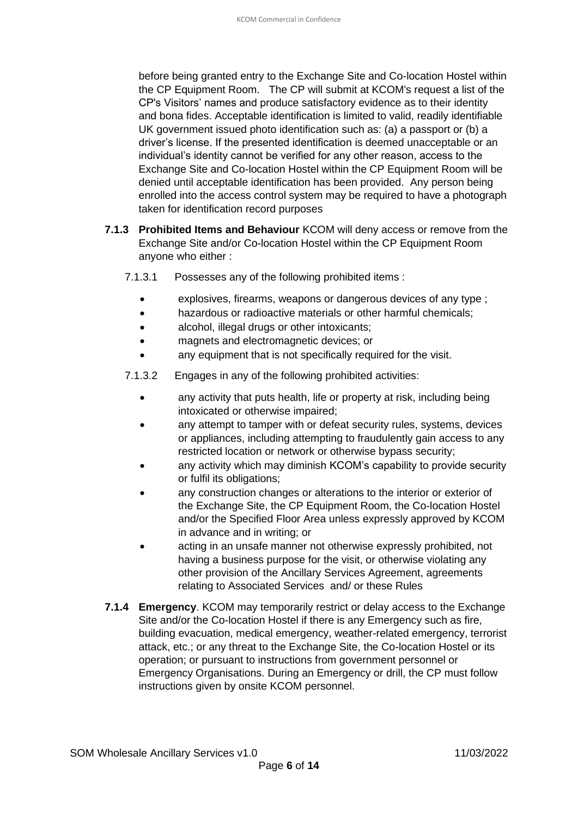before being granted entry to the Exchange Site and Co-location Hostel within the CP Equipment Room. The CP will submit at KCOM's request a list of the CP's Visitors' names and produce satisfactory evidence as to their identity and bona fides. Acceptable identification is limited to valid, readily identifiable UK government issued photo identification such as: (a) a passport or (b) a driver's license. If the presented identification is deemed unacceptable or an individual's identity cannot be verified for any other reason, access to the Exchange Site and Co-location Hostel within the CP Equipment Room will be denied until acceptable identification has been provided. Any person being enrolled into the access control system may be required to have a photograph taken for identification record purposes

- **7.1.3 Prohibited Items and Behaviour** KCOM will deny access or remove from the Exchange Site and/or Co-location Hostel within the CP Equipment Room anyone who either :
	- 7.1.3.1 Possesses any of the following prohibited items :
		- explosives, firearms, weapons or dangerous devices of any type ;
		- hazardous or radioactive materials or other harmful chemicals;
		- alcohol, illegal drugs or other intoxicants;
		- magnets and electromagnetic devices; or
		- any equipment that is not specifically required for the visit.

7.1.3.2 Engages in any of the following prohibited activities:

- any activity that puts health, life or property at risk, including being intoxicated or otherwise impaired;
- any attempt to tamper with or defeat security rules, systems, devices or appliances, including attempting to fraudulently gain access to any restricted location or network or otherwise bypass security;
- any activity which may diminish KCOM's capability to provide security or fulfil its obligations;
- any construction changes or alterations to the interior or exterior of the Exchange Site, the CP Equipment Room, the Co-location Hostel and/or the Specified Floor Area unless expressly approved by KCOM in advance and in writing; or
- acting in an unsafe manner not otherwise expressly prohibited, not having a business purpose for the visit, or otherwise violating any other provision of the Ancillary Services Agreement, agreements relating to Associated Services and/ or these Rules
- <span id="page-5-0"></span>**7.1.4 Emergency**. KCOM may temporarily restrict or delay access to the Exchange Site and/or the Co-location Hostel if there is any Emergency such as fire, building evacuation, medical emergency, weather-related emergency, terrorist attack, etc.; or any threat to the Exchange Site, the Co-location Hostel or its operation; or pursuant to instructions from government personnel or Emergency Organisations. During an Emergency or drill, the CP must follow instructions given by onsite KCOM personnel.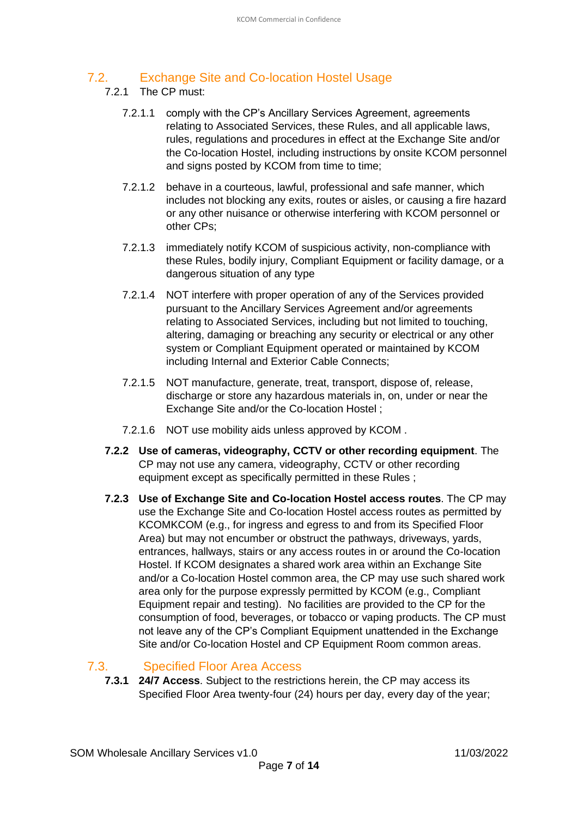### 7.2. Exchange Site and Co-location Hostel Usage

#### 7.2.1 The CP must:

- 7.2.1.1 comply with the CP's Ancillary Services Agreement, agreements relating to Associated Services, these Rules, and all applicable laws, rules, regulations and procedures in effect at the Exchange Site and/or the Co-location Hostel, including instructions by onsite KCOM personnel and signs posted by KCOM from time to time;
- 7.2.1.2 behave in a courteous, lawful, professional and safe manner, which includes not blocking any exits, routes or aisles, or causing a fire hazard or any other nuisance or otherwise interfering with KCOM personnel or other CPs;
- 7.2.1.3 immediately notify KCOM of suspicious activity, non-compliance with these Rules, bodily injury, Compliant Equipment or facility damage, or a dangerous situation of any type
- 7.2.1.4 NOT interfere with proper operation of any of the Services provided pursuant to the Ancillary Services Agreement and/or agreements relating to Associated Services, including but not limited to touching, altering, damaging or breaching any security or electrical or any other system or Compliant Equipment operated or maintained by KCOM including Internal and Exterior Cable Connects;
- 7.2.1.5 NOT manufacture, generate, treat, transport, dispose of, release, discharge or store any hazardous materials in, on, under or near the Exchange Site and/or the Co-location Hostel ;
- 7.2.1.6 NOT use mobility aids unless approved by KCOM .
- **7.2.2 Use of cameras, videography, CCTV or other recording equipment**. The CP may not use any camera, videography, CCTV or other recording equipment except as specifically permitted in these Rules ;
- **7.2.3 Use of Exchange Site and Co-location Hostel access routes**. The CP may use the Exchange Site and Co-location Hostel access routes as permitted by KCOMKCOM (e.g., for ingress and egress to and from its Specified Floor Area) but may not encumber or obstruct the pathways, driveways, yards, entrances, hallways, stairs or any access routes in or around the Co-location Hostel. If KCOM designates a shared work area within an Exchange Site and/or a Co-location Hostel common area, the CP may use such shared work area only for the purpose expressly permitted by KCOM (e.g., Compliant Equipment repair and testing). No facilities are provided to the CP for the consumption of food, beverages, or tobacco or vaping products. The CP must not leave any of the CP's Compliant Equipment unattended in the Exchange Site and/or Co-location Hostel and CP Equipment Room common areas.

### 7.3. Specified Floor Area Access

<span id="page-6-0"></span>**7.3.1 24/7 Access**. Subject to the restrictions herein, the CP may access its Specified Floor Area twenty-four (24) hours per day, every day of the year;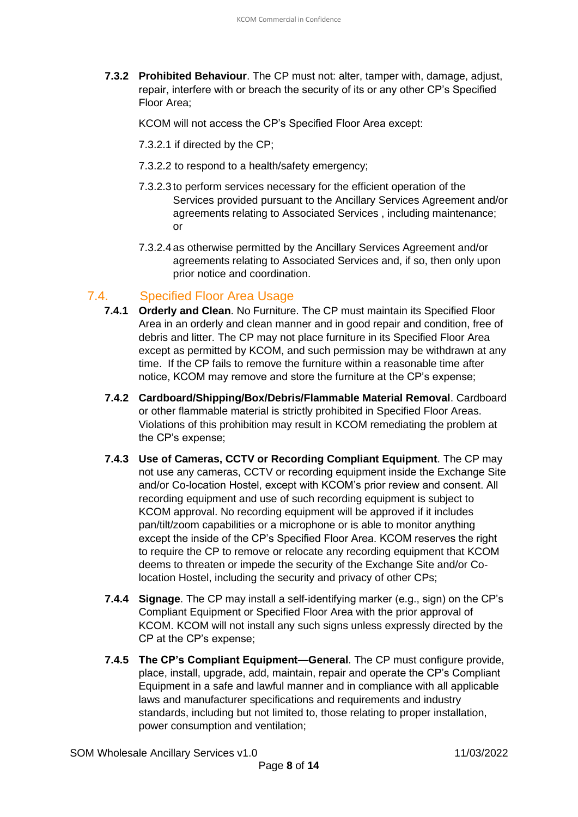**7.3.2 Prohibited Behaviour**. The CP must not: alter, tamper with, damage, adjust, repair, interfere with or breach the security of its or any other CP's Specified Floor Area;

KCOM will not access the CP's Specified Floor Area except:

- 7.3.2.1 if directed by the CP;
- 7.3.2.2 to respond to a health/safety emergency;
- 7.3.2.3 to perform services necessary for the efficient operation of the Services provided pursuant to the Ancillary Services Agreement and/or agreements relating to Associated Services , including maintenance; or
- 7.3.2.4 as otherwise permitted by the Ancillary Services Agreement and/or agreements relating to Associated Services and, if so, then only upon prior notice and coordination.

### <span id="page-7-0"></span>7.4. Specified Floor Area Usage

- **7.4.1 Orderly and Clean**. No Furniture. The CP must maintain its Specified Floor Area in an orderly and clean manner and in good repair and condition, free of debris and litter. The CP may not place furniture in its Specified Floor Area except as permitted by KCOM, and such permission may be withdrawn at any time. If the CP fails to remove the furniture within a reasonable time after notice, KCOM may remove and store the furniture at the CP's expense;
- **7.4.2 Cardboard/Shipping/Box/Debris/Flammable Material Removal**. Cardboard or other flammable material is strictly prohibited in Specified Floor Areas. Violations of this prohibition may result in KCOM remediating the problem at the CP's expense;
- **7.4.3 Use of Cameras, CCTV or Recording Compliant Equipment**. The CP may not use any cameras, CCTV or recording equipment inside the Exchange Site and/or Co-location Hostel, except with KCOM's prior review and consent. All recording equipment and use of such recording equipment is subject to KCOM approval. No recording equipment will be approved if it includes pan/tilt/zoom capabilities or a microphone or is able to monitor anything except the inside of the CP's Specified Floor Area. KCOM reserves the right to require the CP to remove or relocate any recording equipment that KCOM deems to threaten or impede the security of the Exchange Site and/or Colocation Hostel, including the security and privacy of other CPs;
- **7.4.4 Signage**. The CP may install a self-identifying marker (e.g., sign) on the CP's Compliant Equipment or Specified Floor Area with the prior approval of KCOM. KCOM will not install any such signs unless expressly directed by the CP at the CP's expense;
- **7.4.5 The CP's Compliant Equipment—General**. The CP must configure provide, place, install, upgrade, add, maintain, repair and operate the CP's Compliant Equipment in a safe and lawful manner and in compliance with all applicable laws and manufacturer specifications and requirements and industry standards, including but not limited to, those relating to proper installation, power consumption and ventilation;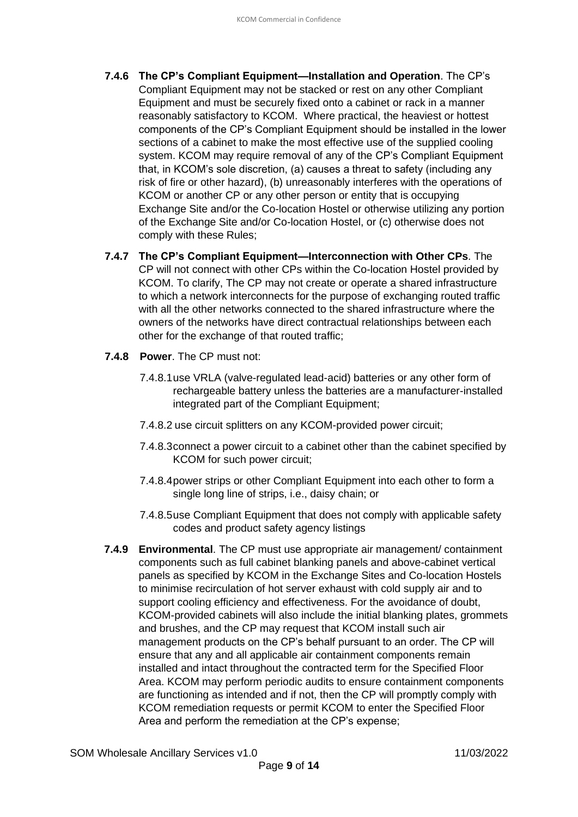- **7.4.6 The CP's Compliant Equipment—Installation and Operation**. The CP's Compliant Equipment may not be stacked or rest on any other Compliant Equipment and must be securely fixed onto a cabinet or rack in a manner reasonably satisfactory to KCOM. Where practical, the heaviest or hottest components of the CP's Compliant Equipment should be installed in the lower sections of a cabinet to make the most effective use of the supplied cooling system. KCOM may require removal of any of the CP's Compliant Equipment that, in KCOM's sole discretion, (a) causes a threat to safety (including any risk of fire or other hazard), (b) unreasonably interferes with the operations of KCOM or another CP or any other person or entity that is occupying Exchange Site and/or the Co-location Hostel or otherwise utilizing any portion of the Exchange Site and/or Co-location Hostel, or (c) otherwise does not comply with these Rules;
- **7.4.7 The CP's Compliant Equipment—Interconnection with Other CPs**. The CP will not connect with other CPs within the Co-location Hostel provided by KCOM. To clarify, The CP may not create or operate a shared infrastructure to which a network interconnects for the purpose of exchanging routed traffic with all the other networks connected to the shared infrastructure where the owners of the networks have direct contractual relationships between each other for the exchange of that routed traffic;
- **7.4.8 Power**. The CP must not:
	- 7.4.8.1use VRLA (valve-regulated lead-acid) batteries or any other form of rechargeable battery unless the batteries are a manufacturer-installed integrated part of the Compliant Equipment;
	- 7.4.8.2 use circuit splitters on any KCOM-provided power circuit;
	- 7.4.8.3connect a power circuit to a cabinet other than the cabinet specified by KCOM for such power circuit;
	- 7.4.8.4power strips or other Compliant Equipment into each other to form a single long line of strips, i.e., daisy chain; or
	- 7.4.8.5use Compliant Equipment that does not comply with applicable safety codes and product safety agency listings
- **7.4.9 Environmental**. The CP must use appropriate air management/ containment components such as full cabinet blanking panels and above-cabinet vertical panels as specified by KCOM in the Exchange Sites and Co-location Hostels to minimise recirculation of hot server exhaust with cold supply air and to support cooling efficiency and effectiveness. For the avoidance of doubt, KCOM-provided cabinets will also include the initial blanking plates, grommets and brushes, and the CP may request that KCOM install such air management products on the CP's behalf pursuant to an order. The CP will ensure that any and all applicable air containment components remain installed and intact throughout the contracted term for the Specified Floor Area. KCOM may perform periodic audits to ensure containment components are functioning as intended and if not, then the CP will promptly comply with KCOM remediation requests or permit KCOM to enter the Specified Floor Area and perform the remediation at the CP's expense;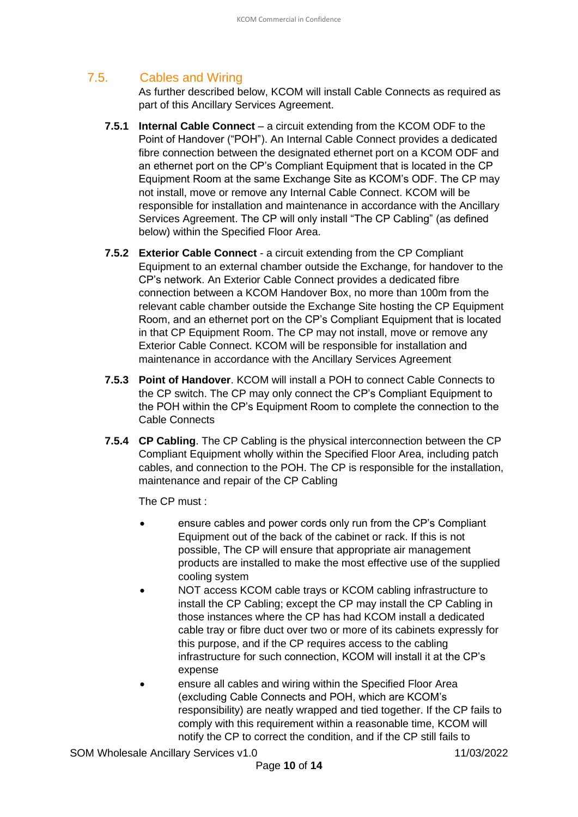# <span id="page-9-0"></span>7.5. Cables and Wiring

As further described below, KCOM will install Cable Connects as required as part of this Ancillary Services Agreement.

- **7.5.1 Internal Cable Connect** a circuit extending from the KCOM ODF to the Point of Handover ("POH"). An Internal Cable Connect provides a dedicated fibre connection between the designated ethernet port on a KCOM ODF and an ethernet port on the CP's Compliant Equipment that is located in the CP Equipment Room at the same Exchange Site as KCOM's ODF. The CP may not install, move or remove any Internal Cable Connect. KCOM will be responsible for installation and maintenance in accordance with the Ancillary Services Agreement. The CP will only install "The CP Cabling" (as defined below) within the Specified Floor Area.
- **7.5.2 Exterior Cable Connect** a circuit extending from the CP Compliant Equipment to an external chamber outside the Exchange, for handover to the CP's network. An Exterior Cable Connect provides a dedicated fibre connection between a KCOM Handover Box, no more than 100m from the relevant cable chamber outside the Exchange Site hosting the CP Equipment Room, and an ethernet port on the CP's Compliant Equipment that is located in that CP Equipment Room. The CP may not install, move or remove any Exterior Cable Connect. KCOM will be responsible for installation and maintenance in accordance with the Ancillary Services Agreement
- **7.5.3 Point of Handover**. KCOM will install a POH to connect Cable Connects to the CP switch. The CP may only connect the CP's Compliant Equipment to the POH within the CP's Equipment Room to complete the connection to the Cable Connects
- **7.5.4 CP Cabling**. The CP Cabling is the physical interconnection between the CP Compliant Equipment wholly within the Specified Floor Area, including patch cables, and connection to the POH. The CP is responsible for the installation, maintenance and repair of the CP Cabling

The CP must :

- ensure cables and power cords only run from the CP's Compliant Equipment out of the back of the cabinet or rack. If this is not possible, The CP will ensure that appropriate air management products are installed to make the most effective use of the supplied cooling system
- NOT access KCOM cable trays or KCOM cabling infrastructure to install the CP Cabling; except the CP may install the CP Cabling in those instances where the CP has had KCOM install a dedicated cable tray or fibre duct over two or more of its cabinets expressly for this purpose, and if the CP requires access to the cabling infrastructure for such connection, KCOM will install it at the CP's expense
- ensure all cables and wiring within the Specified Floor Area (excluding Cable Connects and POH, which are KCOM's responsibility) are neatly wrapped and tied together. If the CP fails to comply with this requirement within a reasonable time, KCOM will notify the CP to correct the condition, and if the CP still fails to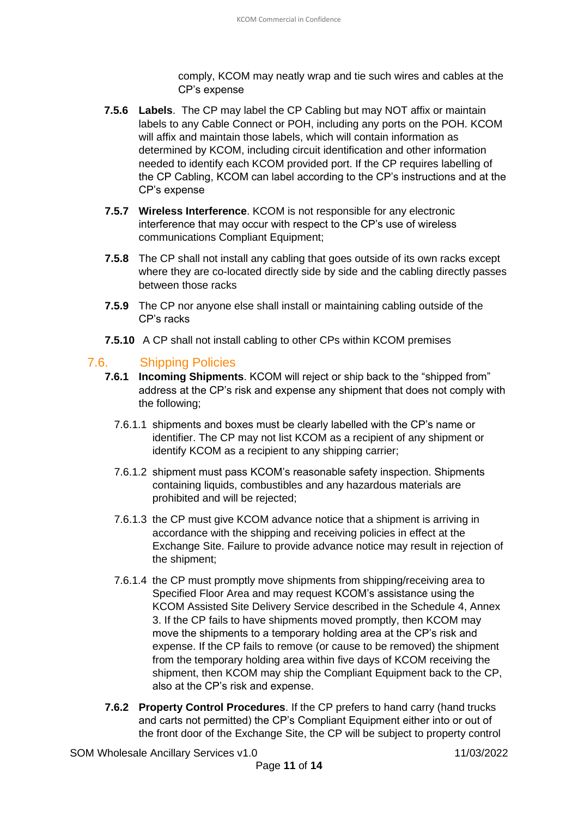comply, KCOM may neatly wrap and tie such wires and cables at the CP's expense

- **7.5.6 Labels**. The CP may label the CP Cabling but may NOT affix or maintain labels to any Cable Connect or POH, including any ports on the POH. KCOM will affix and maintain those labels, which will contain information as determined by KCOM, including circuit identification and other information needed to identify each KCOM provided port. If the CP requires labelling of the CP Cabling, KCOM can label according to the CP's instructions and at the CP's expense
- **7.5.7 Wireless Interference**. KCOM is not responsible for any electronic interference that may occur with respect to the CP's use of wireless communications Compliant Equipment;
- **7.5.8** The CP shall not install any cabling that goes outside of its own racks except where they are co-located directly side by side and the cabling directly passes between those racks
- **7.5.9** The CP nor anyone else shall install or maintaining cabling outside of the CP's racks
- **7.5.10** A CP shall not install cabling to other CPs within KCOM premises

#### <span id="page-10-0"></span>7.6. Shipping Policies

- **7.6.1 Incoming Shipments**. KCOM will reject or ship back to the "shipped from" address at the CP's risk and expense any shipment that does not comply with the following;
	- 7.6.1.1 shipments and boxes must be clearly labelled with the CP's name or identifier. The CP may not list KCOM as a recipient of any shipment or identify KCOM as a recipient to any shipping carrier;
	- 7.6.1.2 shipment must pass KCOM's reasonable safety inspection. Shipments containing liquids, combustibles and any hazardous materials are prohibited and will be rejected;
	- 7.6.1.3 the CP must give KCOM advance notice that a shipment is arriving in accordance with the shipping and receiving policies in effect at the Exchange Site. Failure to provide advance notice may result in rejection of the shipment;
	- 7.6.1.4 the CP must promptly move shipments from shipping/receiving area to Specified Floor Area and may request KCOM's assistance using the KCOM Assisted Site Delivery Service described in the Schedule 4, Annex 3. If the CP fails to have shipments moved promptly, then KCOM may move the shipments to a temporary holding area at the CP's risk and expense. If the CP fails to remove (or cause to be removed) the shipment from the temporary holding area within five days of KCOM receiving the shipment, then KCOM may ship the Compliant Equipment back to the CP, also at the CP's risk and expense.
- **7.6.2 Property Control Procedures**. If the CP prefers to hand carry (hand trucks and carts not permitted) the CP's Compliant Equipment either into or out of the front door of the Exchange Site, the CP will be subject to property control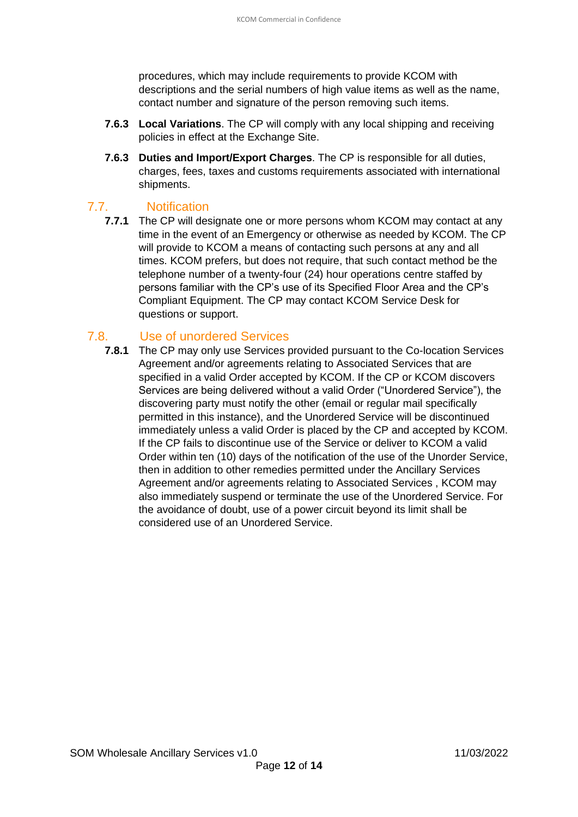procedures, which may include requirements to provide KCOM with descriptions and the serial numbers of high value items as well as the name, contact number and signature of the person removing such items.

- **7.6.3 Local Variations**. The CP will comply with any local shipping and receiving policies in effect at the Exchange Site.
- **7.6.3 Duties and Import/Export Charges**. The CP is responsible for all duties, charges, fees, taxes and customs requirements associated with international shipments.

#### 7.7. Notification

<span id="page-11-0"></span>**7.7.1** The CP will designate one or more persons whom KCOM may contact at any time in the event of an Emergency or otherwise as needed by KCOM. The CP will provide to KCOM a means of contacting such persons at any and all times. KCOM prefers, but does not require, that such contact method be the telephone number of a twenty-four (24) hour operations centre staffed by persons familiar with the CP's use of its Specified Floor Area and the CP's Compliant Equipment. The CP may contact KCOM Service Desk for questions or support.

#### <span id="page-11-1"></span>7.8. Use of unordered Services

**7.8.1** The CP may only use Services provided pursuant to the Co-location Services Agreement and/or agreements relating to Associated Services that are specified in a valid Order accepted by KCOM. If the CP or KCOM discovers Services are being delivered without a valid Order ("Unordered Service"), the discovering party must notify the other (email or regular mail specifically permitted in this instance), and the Unordered Service will be discontinued immediately unless a valid Order is placed by the CP and accepted by KCOM. If the CP fails to discontinue use of the Service or deliver to KCOM a valid Order within ten (10) days of the notification of the use of the Unorder Service, then in addition to other remedies permitted under the Ancillary Services Agreement and/or agreements relating to Associated Services , KCOM may also immediately suspend or terminate the use of the Unordered Service. For the avoidance of doubt, use of a power circuit beyond its limit shall be considered use of an Unordered Service.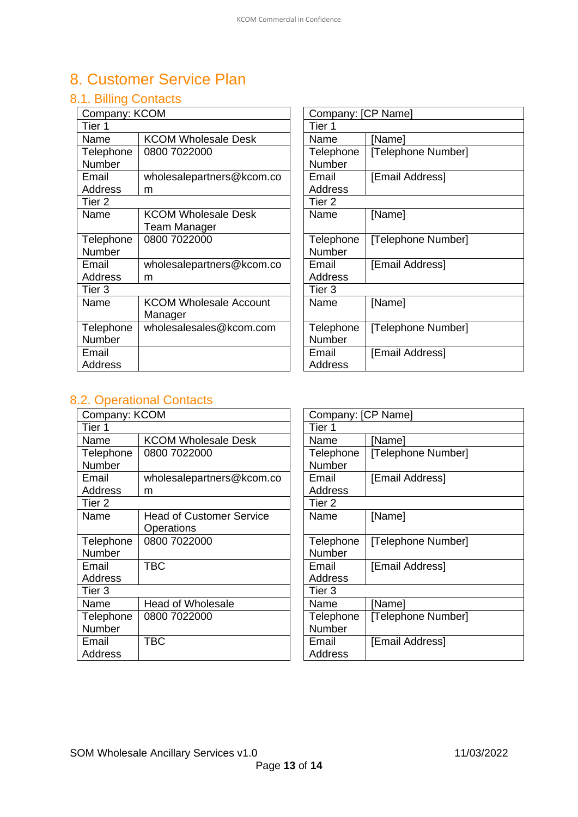# <span id="page-12-0"></span>8. Customer Service Plan

### <span id="page-12-1"></span>8.1. Billing Contacts

| Company: KCOM     |                               | Company: [CP Name] |          |
|-------------------|-------------------------------|--------------------|----------|
| Tier 1            |                               | Tier 1             |          |
| Name              | <b>KCOM Wholesale Desk</b>    | Name               | [Name]   |
| Telephone         | 0800 7022000                  | Telephone          | [Telepho |
| <b>Number</b>     |                               | <b>Number</b>      |          |
| Email             | wholesalepartners@kcom.co     | Email              | [Email A |
| Address           | m                             | <b>Address</b>     |          |
| Tier <sub>2</sub> |                               | Tier 2             |          |
| Name              | <b>KCOM Wholesale Desk</b>    | Name               | [Name]   |
|                   | Team Manager                  |                    |          |
| Telephone         | 0800 7022000                  | Telephone          | [Telepho |
| Number            |                               | Number             |          |
| Email             | wholesalepartners@kcom.co     | Email              | [Email A |
| Address           | m                             | Address            |          |
| Tier 3            |                               | Tier 3             |          |
| Name              | <b>KCOM Wholesale Account</b> | Name               | [Name]   |
|                   | Manager                       |                    |          |
| Telephone         | wholesalesales@kcom.com       | Telephone          | [Telepho |
| Number            |                               | Number             |          |
| Email             |                               | Email              | [Email A |
| Address           |                               | <b>Address</b>     |          |

| Company: [CP Name] |                    |  |  |
|--------------------|--------------------|--|--|
| Tier 1             |                    |  |  |
| Name               | [Name]             |  |  |
| Telephone          | [Telephone Number] |  |  |
| Number             |                    |  |  |
| Email              | [Email Address]    |  |  |
| Address            |                    |  |  |
| Tier 2             |                    |  |  |
| Name               | [Name]             |  |  |
|                    |                    |  |  |
| Telephone          | [Telephone Number] |  |  |
| Number             |                    |  |  |
| Email              | [Email Address]    |  |  |
| <b>Address</b>     |                    |  |  |
| Tier 3             |                    |  |  |
| Name               | [Name]             |  |  |
|                    |                    |  |  |
| Telephone          | [Telephone Number] |  |  |
| Number             |                    |  |  |
| Email              | [Email Address]    |  |  |
| <b>Address</b>     |                    |  |  |

### <span id="page-12-2"></span>8.2. Operational Contacts

| Company: KCOM     |                                 |  | Company: [CP Name] |          |  |
|-------------------|---------------------------------|--|--------------------|----------|--|
| Tier 1            |                                 |  | Tier 1             |          |  |
| Name              | <b>KCOM Wholesale Desk</b>      |  | Name               | [Name]   |  |
| Telephone         | 0800 7022000                    |  | Telephone          | [Telepho |  |
| Number            |                                 |  | Number             |          |  |
| Email             | wholesalepartners@kcom.co       |  | Email              | [Email A |  |
| Address           | m                               |  | <b>Address</b>     |          |  |
| Tier <sub>2</sub> |                                 |  | Tier <sub>2</sub>  |          |  |
| Name              | <b>Head of Customer Service</b> |  | Name               | [Name]   |  |
|                   | Operations                      |  |                    |          |  |
| Telephone         | 0800 7022000                    |  | Telephone          | [Telepho |  |
| Number            |                                 |  | <b>Number</b>      |          |  |
| Email             | <b>TBC</b>                      |  | Email              | [Email A |  |
| Address           |                                 |  | <b>Address</b>     |          |  |
| Tier 3            |                                 |  | Tier 3             |          |  |
| Name              | <b>Head of Wholesale</b>        |  | Name               | [Name]   |  |
| Telephone         | 0800 7022000                    |  | Telephone          | [Telepho |  |
| Number            |                                 |  | Number             |          |  |
| Email             | <b>TBC</b>                      |  | Email              | [Email A |  |
| Address           |                                 |  | <b>Address</b>     |          |  |

| Company: [CP Name] |                    |  |  |
|--------------------|--------------------|--|--|
| Tier 1             |                    |  |  |
| Name               | [Name]             |  |  |
| Telephone          | [Telephone Number] |  |  |
| Number             |                    |  |  |
| Email              | [Email Address]    |  |  |
| <b>Address</b>     |                    |  |  |
| Tier 2             |                    |  |  |
| Name               | [Name]             |  |  |
|                    |                    |  |  |
| Telephone          | [Telephone Number] |  |  |
|                    |                    |  |  |
| Number             |                    |  |  |
| Email              | [Email Address]    |  |  |
| Address            |                    |  |  |
| Tier <sub>3</sub>  |                    |  |  |
| Name               | [Name]             |  |  |
| Telephone          | [Telephone Number] |  |  |
| Number             |                    |  |  |
| Email              | [Email Address]    |  |  |